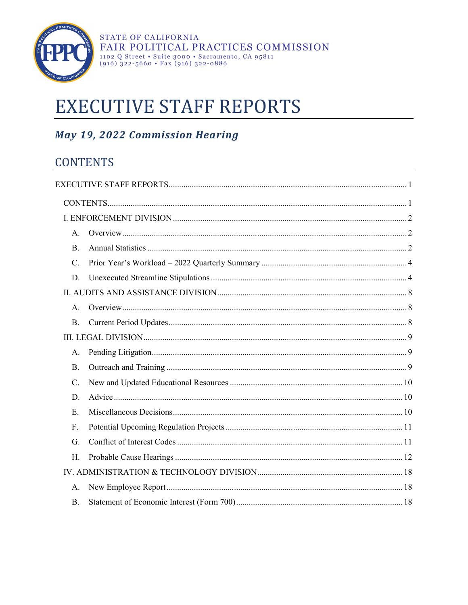

# <span id="page-0-0"></span>**EXECUTIVE STAFF REPORTS**

# May 19, 2022 Commission Hearing

# <span id="page-0-1"></span>**CONTENTS**

| А.              |  |  |  |  |
|-----------------|--|--|--|--|
| <b>B.</b>       |  |  |  |  |
| C.              |  |  |  |  |
| D.              |  |  |  |  |
|                 |  |  |  |  |
| A.              |  |  |  |  |
| B.              |  |  |  |  |
|                 |  |  |  |  |
| А.              |  |  |  |  |
| <b>B.</b>       |  |  |  |  |
| $\mathcal{C}$ . |  |  |  |  |
| D.              |  |  |  |  |
| $E_{\rm{L}}$    |  |  |  |  |
| F.              |  |  |  |  |
| G.              |  |  |  |  |
| H.              |  |  |  |  |
|                 |  |  |  |  |
| А.              |  |  |  |  |
| <b>B.</b>       |  |  |  |  |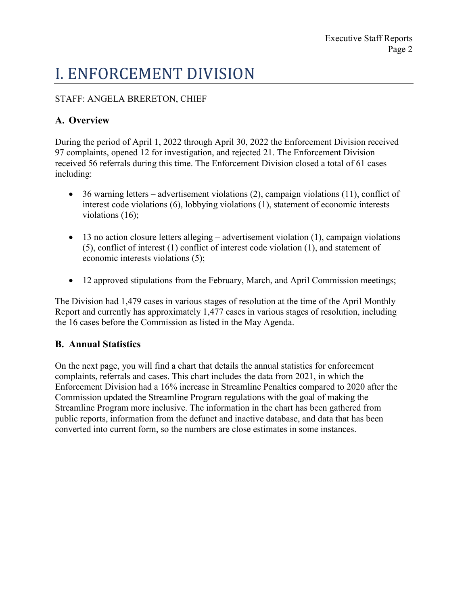# <span id="page-1-0"></span>I. ENFORCEMENT DIVISION

#### STAFF: ANGELA BRERETON, CHIEF

# <span id="page-1-1"></span>**A. Overview**

During the period of April 1, 2022 through April 30, 2022 the Enforcement Division received 97 complaints, opened 12 for investigation, and rejected 21. The Enforcement Division received 56 referrals during this time. The Enforcement Division closed a total of 61 cases including:

- 36 warning letters advertisement violations (2), campaign violations (11), conflict of interest code violations (6), lobbying violations (1), statement of economic interests violations (16);
- $\bullet$  13 no action closure letters alleging advertisement violation (1), campaign violations (5), conflict of interest (1) conflict of interest code violation (1), and statement of economic interests violations (5);
- · 12 approved stipulations from the February, March, and April Commission meetings;

The Division had 1,479 cases in various stages of resolution at the time of the April Monthly Report and currently has approximately 1,477 cases in various stages of resolution, including the 16 cases before the Commission as listed in the May Agenda.

## <span id="page-1-2"></span>**B. Annual Statistics**

On the next page, you will find a chart that details the annual statistics for enforcement complaints, referrals and cases. This chart includes the data from 2021, in which the Enforcement Division had a 16% increase in Streamline Penalties compared to 2020 after the Commission updated the Streamline Program regulations with the goal of making the Streamline Program more inclusive. The information in the chart has been gathered from public reports, information from the defunct and inactive database, and data that has been converted into current form, so the numbers are close estimates in some instances.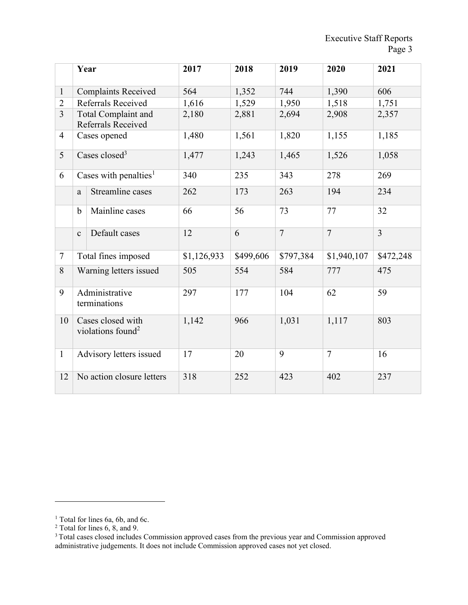|                |                                | Year                                               | 2017        | 2018      | 2019           | 2020           | 2021           |
|----------------|--------------------------------|----------------------------------------------------|-------------|-----------|----------------|----------------|----------------|
| $\mathbf{1}$   | <b>Complaints Received</b>     |                                                    | 564         | 1,352     | 744            | 1,390          | 606            |
| $\overline{2}$ |                                | Referrals Received                                 | 1,616       | 1,529     | 1,950          | 1,518          | 1,751          |
| $\overline{3}$ |                                | Total Complaint and<br>Referrals Received          | 2,180       | 2,881     | 2,694          | 2,908          | 2,357          |
| $\overline{4}$ |                                | Cases opened                                       | 1,480       | 1,561     | 1,820          | 1,155          | 1,185          |
| 5              |                                | Cases closed <sup>3</sup>                          | 1,477       | 1,243     | 1,465          | 1,526          | 1,058          |
| 6              |                                | Cases with penalties <sup>1</sup>                  | 340         | 235       | 343            | 278            | 269            |
|                | a                              | Streamline cases                                   | 262         | 173       | 263            | 194            | 234            |
|                | $\mathbf b$                    | Mainline cases                                     | 66          | 56        | 73             | 77             | 32             |
|                | $\mathbf c$                    | Default cases                                      | 12          | 6         | $\overline{7}$ | $\overline{7}$ | $\overline{3}$ |
| $\tau$         | Total fines imposed            |                                                    | \$1,126,933 | \$499,606 | \$797,384      | \$1,940,107    | \$472,248      |
| 8              | Warning letters issued         |                                                    | 505         | 554       | 584            | 777            | 475            |
| 9              | Administrative<br>terminations |                                                    | 297         | 177       | 104            | 62             | 59             |
| 10             |                                | Cases closed with<br>violations found <sup>2</sup> | 1,142       | 966       | 1,031          | 1,117          | 803            |
| $\mathbf{1}$   |                                | Advisory letters issued                            | 17          | 20        | 9              | $\overline{7}$ | 16             |
| 12             | No action closure letters      |                                                    | 318         | 252       | 423            | 402            | 237            |

 $\overline{a}$ 

<span id="page-2-0"></span><sup>&</sup>lt;sup>1</sup> Total for lines 6a, 6b, and 6c.

<span id="page-2-1"></span> $2$  Total for lines 6, 8, and 9.

<sup>&</sup>lt;sup>3</sup> Total cases closed includes Commission approved cases from the previous year and Commission approved administrative judgements. It does not include Commission approved cases not yet closed.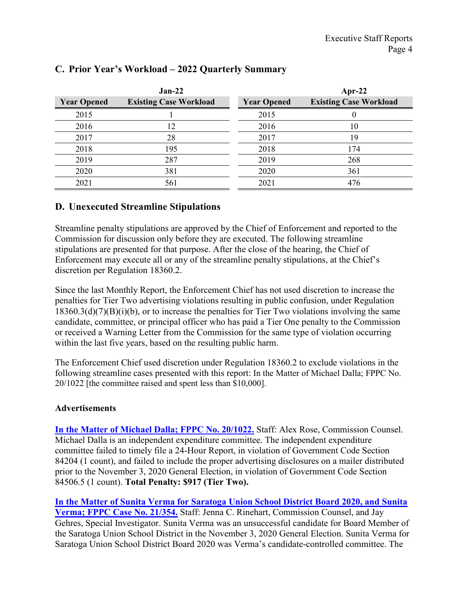|                    | $Jan-22$                      |                    | Apr-22                        |
|--------------------|-------------------------------|--------------------|-------------------------------|
| <b>Year Opened</b> | <b>Existing Case Workload</b> | <b>Year Opened</b> | <b>Existing Case Workload</b> |
| 2015               |                               | 2015               |                               |
| 2016               | 12                            | 2016               | 10                            |
| 2017               | 28                            | 2017               | 19                            |
| 2018               | 195                           | 2018               | 174                           |
| 2019               | 287                           | 2019               | 268                           |
| 2020               | 381                           | 2020               | 361                           |
| 2021               | 561                           | 2021               | 476                           |

### <span id="page-3-0"></span>**C. Prior Year's Workload – 2022 Quarterly Summary**

#### <span id="page-3-1"></span>**D. Unexecuted Streamline Stipulations**

Streamline penalty stipulations are approved by the Chief of Enforcement and reported to the Commission for discussion only before they are executed. The following streamline stipulations are presented for that purpose. After the close of the hearing, the Chief of Enforcement may execute all or any of the streamline penalty stipulations, at the Chief's discretion per Regulation 18360.2.

Since the last Monthly Report, the Enforcement Chief has not used discretion to increase the penalties for Tier Two advertising violations resulting in public confusion, under Regulation  $18360.3(d)(7)(B)(i)(b)$ , or to increase the penalties for Tier Two violations involving the same candidate, committee, or principal officer who has paid a Tier One penalty to the Commission or received a Warning Letter from the Commission for the same type of violation occurring within the last five years, based on the resulting public harm.

The Enforcement Chief used discretion under Regulation 18360.2 to exclude violations in the following streamline cases presented with this report: In the Matter of Michael Dalla; FPPC No. 20/1022 [the committee raised and spent less than \$10,000].

#### **Advertisements**

**[In the Matter of Michael Dalla; FPPC No. 20/1022.](https://www.fppc.ca.gov/content/dam/fppc/documents/Stipulations/2022/may/Michael-Dalla-Stip.pdf)** Staff: Alex Rose, Commission Counsel. Michael Dalla is an independent expenditure committee. The independent expenditure committee failed to timely file a 24-Hour Report, in violation of Government Code Section 84204 (1 count), and failed to include the proper advertising disclosures on a mailer distributed prior to the November 3, 2020 General Election, in violation of Government Code Section 84506.5 (1 count). **Total Penalty: \$917 (Tier Two).**

**[In the Matter of Sunita Verma for Saratoga Union School District Board 2020, and Sunita](http://www.fppc.ca.gov/content/dam/fppc/documents/Stipulations/2022/may/Sunita-Verma-for-Saratoga-Union-School-District-Board-2020-Stip.pdf)  [Verma; FPPC Case No. 21/354.](http://www.fppc.ca.gov/content/dam/fppc/documents/Stipulations/2022/may/Sunita-Verma-for-Saratoga-Union-School-District-Board-2020-Stip.pdf)** Staff: Jenna C. Rinehart, Commission Counsel, and Jay Gehres, Special Investigator. Sunita Verma was an unsuccessful candidate for Board Member of the Saratoga Union School District in the November 3, 2020 General Election. Sunita Verma for Saratoga Union School District Board 2020 was Verma's candidate-controlled committee. The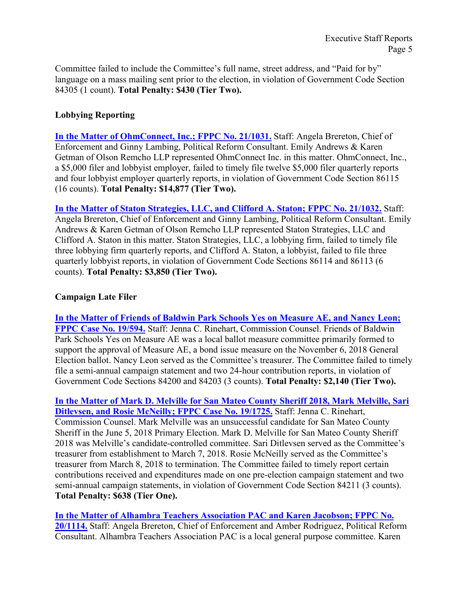Committee failed to include the Committee's full name, street address, and "Paid for by" language on a mass mailing sent prior to the election, in violation of Government Code Section 84305 (1 count). **Total Penalty: \$430 (Tier Two).** 

#### **Lobbying Reporting**

**[In the Matter of OhmConnect, Inc.; FPPC No. 21/1031.](http://www.fppc.ca.gov/content/dam/fppc/documents/Stipulations/2022/may/OhmConnect-Inc-Stip.pdf)** Staff: Angela Brereton, Chief of Enforcement and Ginny Lambing, Political Reform Consultant. Emily Andrews & Karen Getman of Olson Remcho LLP represented OhmConnect Inc. in this matter. OhmConnect, Inc., a \$5,000 filer and lobbyist employer, failed to timely file twelve \$5,000 filer quarterly reports and four lobbyist employer quarterly reports, in violation of Government Code Section 86115 (16 counts). **Total Penalty: \$14,877 (Tier Two).**

**[In the Matter of Staton Strategies, LLC, and Clifford A. Staton; FPPC No. 21/1032.](http://www.fppc.ca.gov/content/dam/fppc/documents/Stipulations/2022/may/Staton-Strategies-LLC-and-Clifford-A-Staton-Stip.pdf)** Staff: Angela Brereton, Chief of Enforcement and Ginny Lambing, Political Reform Consultant. Emily Andrews & Karen Getman of Olson Remcho LLP represented Staton Strategies, LLC and Clifford A. Staton in this matter. Staton Strategies, LLC, a lobbying firm, failed to timely file three lobbying firm quarterly reports, and Clifford A. Staton, a lobbyist, failed to file three quarterly lobbyist reports, in violation of Government Code Sections 86114 and 86113 (6 counts). **Total Penalty: \$3,850 (Tier Two).**

#### **Campaign Late Filer**

**[In the Matter of Friends of Baldwin Park Schools Yes on Measure AE, and Nancy Leon;](http://www.fppc.ca.gov/content/dam/fppc/documents/Stipulations/2022/may/Friends-of-Baldwin-Park-Schools-Yes-on-Measure-AE-and-Nancy-Leon-Stip.pdf)  FPPC [Case No. 19/594.](http://www.fppc.ca.gov/content/dam/fppc/documents/Stipulations/2022/may/Friends-of-Baldwin-Park-Schools-Yes-on-Measure-AE-and-Nancy-Leon-Stip.pdf)** Staff: Jenna C. Rinehart, Commission Counsel. Friends of Baldwin Park Schools Yes on Measure AE was a local ballot measure committee primarily formed to support the approval of Measure AE, a bond issue measure on the November 6, 2018 General Election ballot. Nancy Leon served as the Committee's treasurer. The Committee failed to timely file a semi-annual campaign statement and two 24-hour contribution reports, in violation of Government Code Sections 84200 and 84203 (3 counts). **Total Penalty: \$2,140 (Tier Two).**

**[In the Matter of Mark D. Melville for San Mateo County Sheriff 2018, Mark Melville, Sari](http://www.fppc.ca.gov/content/dam/fppc/documents/Stipulations/2022/may/Mark-D-Melville-for-San-Mateo-County-Sheriff-2018-Stip.pdf)  [Ditlevsen, and Rosie McNeilly; FPPC Case No. 19/1725.](http://www.fppc.ca.gov/content/dam/fppc/documents/Stipulations/2022/may/Mark-D-Melville-for-San-Mateo-County-Sheriff-2018-Stip.pdf)** Staff: Jenna C. Rinehart, Commission Counsel. Mark Melville was an unsuccessful candidate for San Mateo County Sheriff in the June 5, 2018 Primary Election. Mark D. Melville for San Mateo County Sheriff 2018 was Melville's candidate-controlled committee. Sari Ditlevsen served as the Committee's treasurer from establishment to March 7, 2018. Rosie McNeilly served as the Committee's treasurer from March 8, 2018 to termination. The Committee failed to timely report certain contributions received and expenditures made on one pre-election campaign statement and two semi-annual campaign statements, in violation of Government Code Section 84211 (3 counts). **Total Penalty: \$638 (Tier One).**

**[In the Matter of Alhambra Teachers Association PAC and Karen Jacobson; FPPC No.](http://www.fppc.ca.gov/content/dam/fppc/documents/Stipulations/2022/may/Alhambra-Teachers-Association-PAC-and-Karen-Jacobson-Stip.pdf)  [20/1114.](http://www.fppc.ca.gov/content/dam/fppc/documents/Stipulations/2022/may/Alhambra-Teachers-Association-PAC-and-Karen-Jacobson-Stip.pdf)** Staff: Angela Brereton, Chief of Enforcement and Amber Rodriguez, Political Reform Consultant. Alhambra Teachers Association PAC is a local general purpose committee. Karen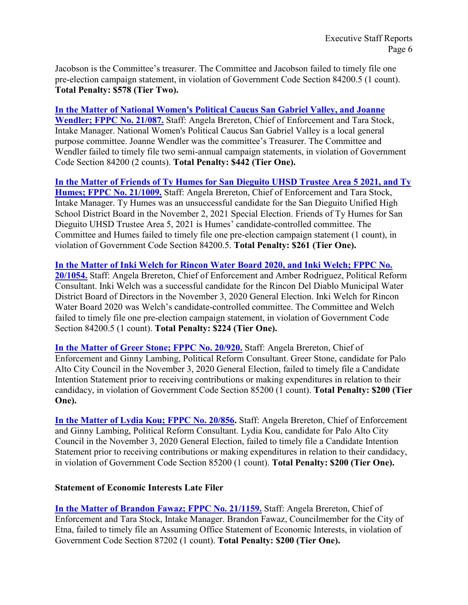Jacobson is the Committee's treasurer. The Committee and Jacobson failed to timely file one pre-election campaign statement, in violation of Government Code Section 84200.5 (1 count). **Total Penalty: \$578 (Tier Two).**

**[In the Matter of National Women's Political Caucus San Gabriel Valley, and Joanne](http://www.fppc.ca.gov/content/dam/fppc/documents/Stipulations/2022/may/National-Women%27s-Political-Caucus-San-Gabriel-Valley-Stip.pdf)  [Wendler; FPPC No. 21/087.](http://www.fppc.ca.gov/content/dam/fppc/documents/Stipulations/2022/may/National-Women%27s-Political-Caucus-San-Gabriel-Valley-Stip.pdf)** Staff: Angela Brereton, Chief of Enforcement and Tara Stock, Intake Manager. National Women's Political Caucus San Gabriel Valley is a local general purpose committee. Joanne Wendler was the committee's Treasurer. The Committee and Wendler failed to timely file two semi-annual campaign statements, in violation of Government Code Section 84200 (2 counts). **Total Penalty: \$442 (Tier One).** 

**[In the Matter of Friends of Ty Humes for San Dieguito UHSD Trustee Area 5 2021, and Ty](http://www.fppc.ca.gov/content/dam/fppc/documents/Stipulations/2022/may/Friends-of-Ty-Humes-for-San-Dieguito-UHSD-Trustee-Stip.pdf)  [Humes; FPPC No. 21/1009.](http://www.fppc.ca.gov/content/dam/fppc/documents/Stipulations/2022/may/Friends-of-Ty-Humes-for-San-Dieguito-UHSD-Trustee-Stip.pdf)** Staff: Angela Brereton, Chief of Enforcement and Tara Stock, Intake Manager. Ty Humes was an unsuccessful candidate for the San Dieguito Unified High School District Board in the November 2, 2021 Special Election. Friends of Ty Humes for San Dieguito UHSD Trustee Area 5, 2021 is Humes' candidate-controlled committee. The Committee and Humes failed to timely file one pre-election campaign statement (1 count), in violation of Government Code Section 84200.5. **Total Penalty: \$261 (Tier One).**

**[In the Matter of Inki Welch for Rincon Water Board 2020, and Inki Welch; FPPC No.](http://www.fppc.ca.gov/content/dam/fppc/documents/Stipulations/2022/may/Inki-Welch-for-Rincon-Water-Board-2020-Stip.pdf)  [20/1054.](http://www.fppc.ca.gov/content/dam/fppc/documents/Stipulations/2022/may/Inki-Welch-for-Rincon-Water-Board-2020-Stip.pdf)** Staff: Angela Brereton, Chief of Enforcement and Amber Rodriguez, Political Reform Consultant. Inki Welch was a successful candidate for the Rincon Del Diablo Municipal Water District Board of Directors in the November 3, 2020 General Election. Inki Welch for Rincon Water Board 2020 was Welch's candidate-controlled committee. The Committee and Welch failed to timely file one pre-election campaign statement, in violation of Government Code Section 84200.5 (1 count). **Total Penalty: \$224 (Tier One).**

**[In the Matter of Greer Stone; FPPC No. 20/920.](http://www.fppc.ca.gov/content/dam/fppc/documents/Stipulations/2022/may/Greer-Stone-Stip.pdf)** Staff: Angela Brereton, Chief of Enforcement and Ginny Lambing, Political Reform Consultant. Greer Stone, candidate for Palo Alto City Council in the November 3, 2020 General Election, failed to timely file a Candidate Intention Statement prior to receiving contributions or making expenditures in relation to their candidacy, in violation of Government Code Section 85200 (1 count). **Total Penalty: \$200 (Tier One).**

[In the Matter of Lydia Kou; FPPC No. 20/856.](http://www.fppc.ca.gov/content/dam/fppc/documents/Stipulations/2022/may/Lydia-Kou-Stip.pdf) Staff: Angela Brereton, Chief of Enforcement and Ginny Lambing, Political Reform Consultant. Lydia Kou, candidate for Palo Alto City Council in the November 3, 2020 General Election, failed to timely file a Candidate Intention Statement prior to receiving contributions or making expenditures in relation to their candidacy, in violation of Government Code Section 85200 (1 count). **Total Penalty: \$200 (Tier One).**

#### **Statement of Economic Interests Late Filer**

**[In the Matter of Brandon Fawaz; FPPC No. 21/1159.](http://www.fppc.ca.gov/content/dam/fppc/documents/Stipulations/2022/may/Brandon-Fawaz-Stip.pdf)** Staff: Angela Brereton, Chief of Enforcement and Tara Stock, Intake Manager. Brandon Fawaz, Councilmember for the City of Etna, failed to timely file an Assuming Office Statement of Economic Interests, in violation of Government Code Section 87202 (1 count). **Total Penalty: \$200 (Tier One).**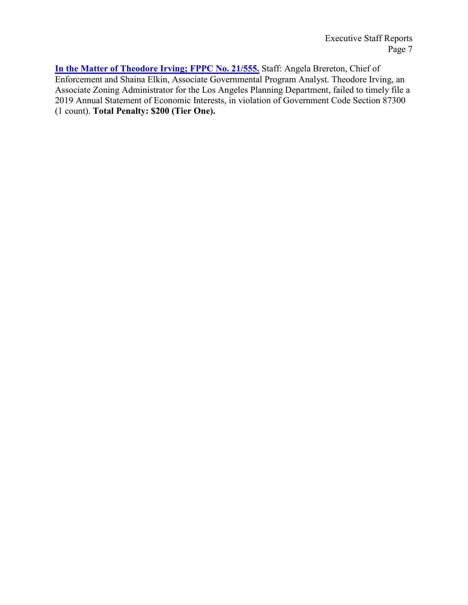**[In the Matter of Theodore Irving; FPPC No. 21/555.](http://www.fppc.ca.gov/content/dam/fppc/documents/Stipulations/2022/may/Theodore-Irving-Stip.pdf)** Staff: Angela Brereton, Chief of Enforcement and Shaina Elkin, Associate Governmental Program Analyst. Theodore Irving, an Associate Zoning Administrator for the Los Angeles Planning Department, failed to timely file a 2019 Annual Statement of Economic Interests, in violation of Government Code Section 87300 (1 count). **Total Penalty: \$200 (Tier One).**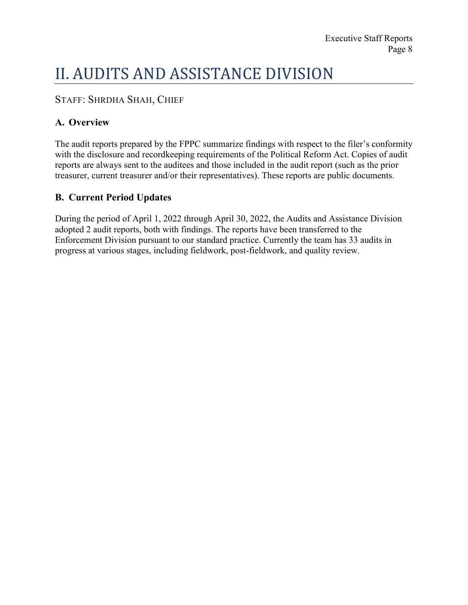# <span id="page-7-0"></span>II. AUDITS AND ASSISTANCE DIVISION

### STAFF: SHRDHA SHAH, CHIEF

### <span id="page-7-1"></span>**A. Overview**

The audit reports prepared by the FPPC summarize findings with respect to the filer's conformity with the disclosure and recordkeeping requirements of the Political Reform Act. Copies of audit reports are always sent to the auditees and those included in the audit report (such as the prior treasurer, current treasurer and/or their representatives). These reports are public documents.

### <span id="page-7-2"></span>**B. Current Period Updates**

During the period of April 1, 2022 through April 30, 2022, the Audits and Assistance Division adopted 2 audit reports, both with findings. The reports have been transferred to the Enforcement Division pursuant to our standard practice. Currently the team has 33 audits in progress at various stages, including fieldwork, post-fieldwork, and quality review.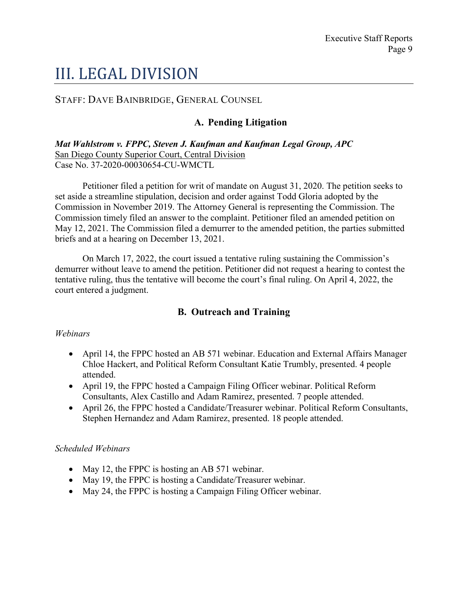# <span id="page-8-0"></span>III. LEGAL DIVISION

### <span id="page-8-1"></span>STAFF: DAVE BAINBRIDGE, GENERAL COUNSEL

### **A. Pending Litigation**

*Mat Wahlstrom v. FPPC, Steven J. Kaufman and Kaufman Legal Group, APC* San Diego County Superior Court, Central Division Case No. 37-2020-00030654-CU-WMCTL

Petitioner filed a petition for writ of mandate on August 31, 2020. The petition seeks to set aside a streamline stipulation, decision and order against Todd Gloria adopted by the Commission in November 2019. The Attorney General is representing the Commission. The Commission timely filed an answer to the complaint. Petitioner filed an amended petition on May 12, 2021. The Commission filed a demurrer to the amended petition, the parties submitted briefs and at a hearing on December 13, 2021.

On March 17, 2022, the court issued a tentative ruling sustaining the Commission's demurrer without leave to amend the petition. Petitioner did not request a hearing to contest the tentative ruling, thus the tentative will become the court's final ruling. On April 4, 2022, the court entered a judgment.

#### **B. Outreach and Training**

#### <span id="page-8-2"></span>*Webinars*

- April 14, the FPPC hosted an AB 571 webinar. Education and External Affairs Manager Chloe Hackert, and Political Reform Consultant Katie Trumbly, presented. 4 people attended.
- · April 19, the FPPC hosted a Campaign Filing Officer webinar. Political Reform Consultants, Alex Castillo and Adam Ramirez, presented. 7 people attended.
- · April 26, the FPPC hosted a Candidate/Treasurer webinar. Political Reform Consultants, Stephen Hernandez and Adam Ramirez, presented. 18 people attended.

#### *Scheduled Webinars*

- May 12, the FPPC is hosting an AB 571 webinar.
- May 19, the FPPC is hosting a Candidate/Treasurer webinar.
- May 24, the FPPC is hosting a Campaign Filing Officer webinar.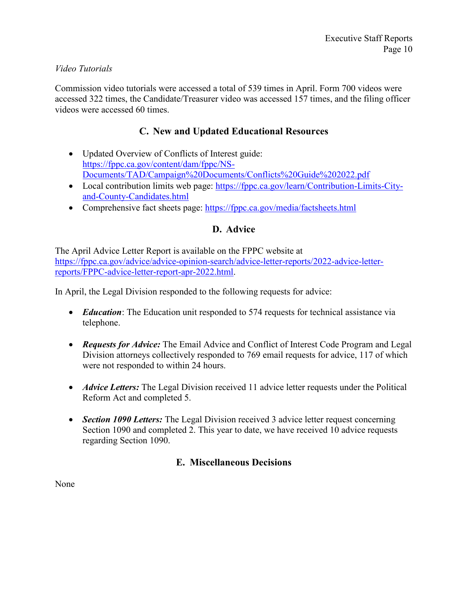#### *Video Tutorials*

Commission video tutorials were accessed a total of 539 times in April. Form 700 videos were accessed 322 times, the Candidate/Treasurer video was accessed 157 times, and the filing officer videos were accessed 60 times.

#### **C. New and Updated Educational Resources**

- <span id="page-9-0"></span>• Updated Overview of Conflicts of Interest guide: [https://fppc.ca.gov/content/dam/fppc/NS-](https://fppc.ca.gov/content/dam/fppc/NS-Documents/TAD/Campaign%20Documents/Conflicts%20Guide%202022.pdf)[Documents/TAD/Campaign%20Documents/Conflicts%20Guide%202022.pdf](https://fppc.ca.gov/content/dam/fppc/NS-Documents/TAD/Campaign%20Documents/Conflicts%20Guide%202022.pdf)
- Local contribution limits web page: [https://fppc.ca.gov/learn/Contribution-Limits-City](https://fppc.ca.gov/learn/Contribution-Limits-City-and-County-Candidates.html)[and-County-Candidates.html](https://fppc.ca.gov/learn/Contribution-Limits-City-and-County-Candidates.html)
- <span id="page-9-1"></span>• Comprehensive fact sheets page:<https://fppc.ca.gov/media/factsheets.html>

#### **D. Advice**

The April Advice Letter Report is available on the FPPC website at [https://fppc.ca.gov/advice/advice-opinion-search/advice-letter-reports/2022-advice-letter](https://fppc.ca.gov/advice/advice-opinion-search/advice-letter-reports/2022-advice-letter-reports/FPPC-advice-letter-report-apr-2022.html)[reports/FPPC-advice-letter-report-apr-2022.html](https://fppc.ca.gov/advice/advice-opinion-search/advice-letter-reports/2022-advice-letter-reports/FPPC-advice-letter-report-apr-2022.html).

In April, the Legal Division responded to the following requests for advice:

- *Education*: The Education unit responded to 574 requests for technical assistance via telephone.
- · *Requests for Advice:* The Email Advice and Conflict of Interest Code Program and Legal Division attorneys collectively responded to 769 email requests for advice, 117 of which were not responded to within 24 hours.
- *Advice Letters:* The Legal Division received 11 advice letter requests under the Political Reform Act and completed 5.
- *Section 1090 Letters:* The Legal Division received 3 advice letter request concerning Section 1090 and completed 2. This year to date, we have received 10 advice requests regarding Section 1090.

#### **E. Miscellaneous Decisions**

<span id="page-9-2"></span>None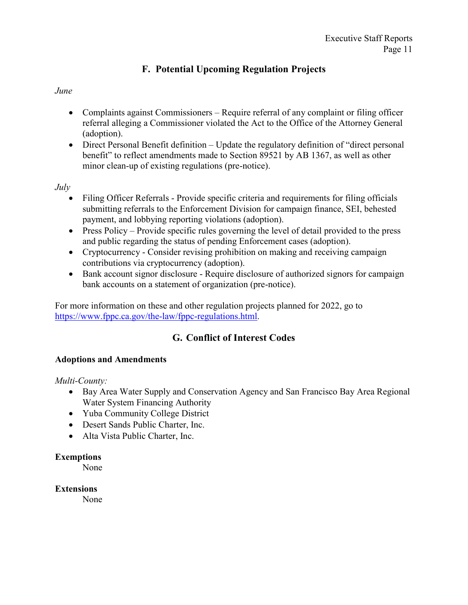## **F. Potential Upcoming Regulation Projects**

#### <span id="page-10-0"></span>*June*

- Complaints against Commissioners Require referral of any complaint or filing officer referral alleging a Commissioner violated the Act to the Office of the Attorney General (adoption).
- · Direct Personal Benefit definition Update the regulatory definition of "direct personal benefit" to reflect amendments made to Section 89521 by AB 1367, as well as other minor clean-up of existing regulations (pre-notice).

*July* 

- Filing Officer Referrals Provide specific criteria and requirements for filing officials submitting referrals to the Enforcement Division for campaign finance, SEI, behested payment, and lobbying reporting violations (adoption).
- Press Policy Provide specific rules governing the level of detail provided to the press and public regarding the status of pending Enforcement cases (adoption).
- · Cryptocurrency Consider revising prohibition on making and receiving campaign contributions via cryptocurrency (adoption).
- · Bank account signor disclosure Require disclosure of authorized signors for campaign bank accounts on a statement of organization (pre-notice).

For more information on these and other regulation projects planned for 2022, go to [https://www.fppc.ca.gov/the-law/fppc-regulations.html.](https://www.fppc.ca.gov/the-law/fppc-regulations.html)

# **G. Conflict of Interest Codes**

#### <span id="page-10-1"></span>**Adoptions and Amendments**

*Multi-County:* 

- · Bay Area Water Supply and Conservation Agency and San Francisco Bay Area Regional Water System Financing Authority
- · Yuba Community College District
- · Desert Sands Public Charter, Inc.
- Alta Vista Public Charter, Inc.

#### **Exemptions**

None

#### **Extensions**

None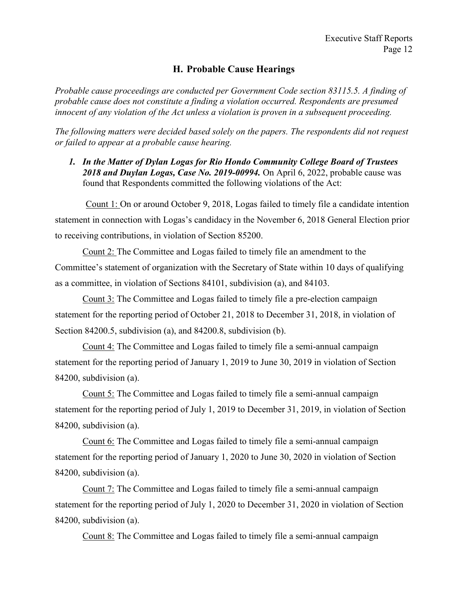### **H. Probable Cause Hearings**

<span id="page-11-0"></span>*Probable cause proceedings are conducted per Government Code section 83115.5. A finding of probable cause does not constitute a finding a violation occurred. Respondents are presumed innocent of any violation of the Act unless a violation is proven in a subsequent proceeding.*

*The following matters were decided based solely on the papers. The respondents did not request or failed to appear at a probable cause hearing.*

*1. In the Matter of Dylan Logas for Rio Hondo Community College Board of Trustees 2018 and Duylan Logas, Case No. 2019-00994.* On April 6, 2022, probable cause was found that Respondents committed the following violations of the Act:

Count 1: On or around October 9, 2018, Logas failed to timely file a candidate intention statement in connection with Logas's candidacy in the November 6, 2018 General Election prior to receiving contributions, in violation of Section 85200.

Count 2: The Committee and Logas failed to timely file an amendment to the Committee's statement of organization with the Secretary of State within 10 days of qualifying as a committee, in violation of Sections 84101, subdivision (a), and 84103.

Count 3: The Committee and Logas failed to timely file a pre-election campaign statement for the reporting period of October 21, 2018 to December 31, 2018, in violation of Section 84200.5, subdivision (a), and 84200.8, subdivision (b).

Count 4: The Committee and Logas failed to timely file a semi-annual campaign statement for the reporting period of January 1, 2019 to June 30, 2019 in violation of Section 84200, subdivision (a).

Count 5: The Committee and Logas failed to timely file a semi-annual campaign statement for the reporting period of July 1, 2019 to December 31, 2019, in violation of Section 84200, subdivision (a).

Count 6: The Committee and Logas failed to timely file a semi-annual campaign statement for the reporting period of January 1, 2020 to June 30, 2020 in violation of Section 84200, subdivision (a).

Count 7: The Committee and Logas failed to timely file a semi-annual campaign statement for the reporting period of July 1, 2020 to December 31, 2020 in violation of Section 84200, subdivision (a).

Count 8: The Committee and Logas failed to timely file a semi-annual campaign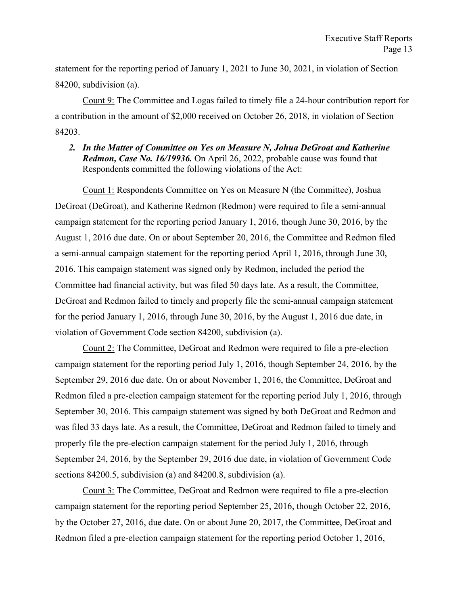statement for the reporting period of January 1, 2021 to June 30, 2021, in violation of Section 84200, subdivision (a).

Count 9: The Committee and Logas failed to timely file a 24-hour contribution report for a contribution in the amount of \$2,000 received on October 26, 2018, in violation of Section 84203.

*2. In the Matter of Committee on Yes on Measure N, Johua DeGroat and Katherine Redmon, Case No. 16/19936.* On April 26, 2022, probable cause was found that Respondents committed the following violations of the Act:

Count 1: Respondents Committee on Yes on Measure N (the Committee), Joshua DeGroat (DeGroat), and Katherine Redmon (Redmon) were required to file a semi-annual campaign statement for the reporting period January 1, 2016, though June 30, 2016, by the August 1, 2016 due date. On or about September 20, 2016, the Committee and Redmon filed a semi-annual campaign statement for the reporting period April 1, 2016, through June 30, 2016. This campaign statement was signed only by Redmon, included the period the Committee had financial activity, but was filed 50 days late. As a result, the Committee, DeGroat and Redmon failed to timely and properly file the semi-annual campaign statement for the period January 1, 2016, through June 30, 2016, by the August 1, 2016 due date, in violation of Government Code section 84200, subdivision (a).

Count 2: The Committee, DeGroat and Redmon were required to file a pre-election campaign statement for the reporting period July 1, 2016, though September 24, 2016, by the September 29, 2016 due date. On or about November 1, 2016, the Committee, DeGroat and Redmon filed a pre-election campaign statement for the reporting period July 1, 2016, through September 30, 2016. This campaign statement was signed by both DeGroat and Redmon and was filed 33 days late. As a result, the Committee, DeGroat and Redmon failed to timely and properly file the pre-election campaign statement for the period July 1, 2016, through September 24, 2016, by the September 29, 2016 due date, in violation of Government Code sections 84200.5, subdivision (a) and 84200.8, subdivision (a).

Count 3: The Committee, DeGroat and Redmon were required to file a pre-election campaign statement for the reporting period September 25, 2016, though October 22, 2016, by the October 27, 2016, due date. On or about June 20, 2017, the Committee, DeGroat and Redmon filed a pre-election campaign statement for the reporting period October 1, 2016,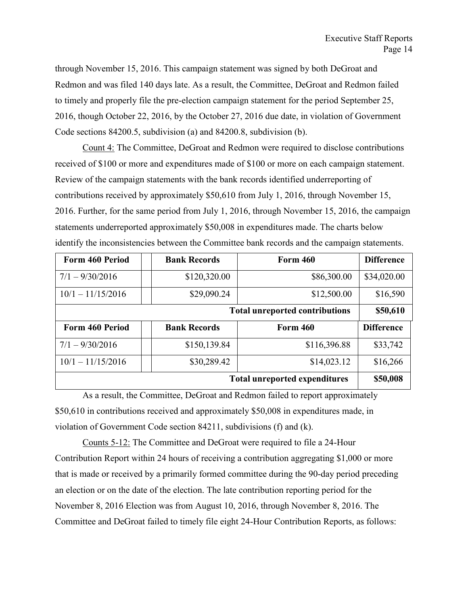through November 15, 2016. This campaign statement was signed by both DeGroat and Redmon and was filed 140 days late. As a result, the Committee, DeGroat and Redmon failed to timely and properly file the pre-election campaign statement for the period September 25, 2016, though October 22, 2016, by the October 27, 2016 due date, in violation of Government Code sections 84200.5, subdivision (a) and 84200.8, subdivision (b).

Count 4: The Committee, DeGroat and Redmon were required to disclose contributions received of \$100 or more and expenditures made of \$100 or more on each campaign statement. Review of the campaign statements with the bank records identified underreporting of contributions received by approximately \$50,610 from July 1, 2016, through November 15, 2016. Further, for the same period from July 1, 2016, through November 15, 2016, the campaign statements underreported approximately \$50,008 in expenditures made. The charts below identify the inconsistencies between the Committee bank records and the campaign statements.

| Form 460 Period                       | <b>Bank Records</b> | <b>Form 460</b> | <b>Difference</b> |  |  |
|---------------------------------------|---------------------|-----------------|-------------------|--|--|
| $7/1 - 9/30/2016$                     | \$120,320.00        | \$86,300.00     | \$34,020.00       |  |  |
| $10/1 - 11/15/2016$                   | \$29,090.24         | \$12,500.00     | \$16,590          |  |  |
| <b>Total unreported contributions</b> |                     |                 |                   |  |  |
| Form 460 Period                       | <b>Bank Records</b> | <b>Form 460</b> | <b>Difference</b> |  |  |
| $7/1 - 9/30/2016$                     | \$150,139.84        | \$116,396.88    | \$33,742          |  |  |
| $10/1 - 11/15/2016$                   | \$30,289.42         | \$14,023.12     | \$16,266          |  |  |
| <b>Total unreported expenditures</b>  |                     |                 |                   |  |  |

As a result, the Committee, DeGroat and Redmon failed to report approximately \$50,610 in contributions received and approximately \$50,008 in expenditures made, in violation of Government Code section 84211, subdivisions (f) and (k).

Counts 5-12: The Committee and DeGroat were required to file a 24-Hour Contribution Report within 24 hours of receiving a contribution aggregating \$1,000 or more that is made or received by a primarily formed committee during the 90-day period preceding an election or on the date of the election. The late contribution reporting period for the November 8, 2016 Election was from August 10, 2016, through November 8, 2016. The Committee and DeGroat failed to timely file eight 24-Hour Contribution Reports, as follows: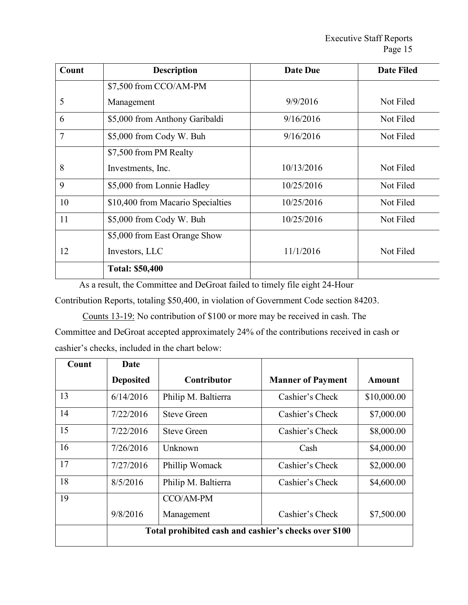| Count | <b>Description</b>                | <b>Date Due</b> | <b>Date Filed</b> |
|-------|-----------------------------------|-----------------|-------------------|
|       | \$7,500 from CCO/AM-PM            |                 |                   |
| 5     | Management                        | 9/9/2016        | Not Filed         |
| 6     | \$5,000 from Anthony Garibaldi    | 9/16/2016       | Not Filed         |
| 7     | \$5,000 from Cody W. Buh          | 9/16/2016       | Not Filed         |
|       | \$7,500 from PM Realty            |                 |                   |
| 8     | Investments, Inc.                 | 10/13/2016      | Not Filed         |
| 9     | \$5,000 from Lonnie Hadley        | 10/25/2016      | Not Filed         |
| 10    | \$10,400 from Macario Specialties | 10/25/2016      | Not Filed         |
| 11    | \$5,000 from Cody W. Buh          | 10/25/2016      | Not Filed         |
|       | \$5,000 from East Orange Show     |                 |                   |
| 12    | Investors, LLC                    | 11/1/2016       | Not Filed         |
|       | <b>Total: \$50,400</b>            |                 |                   |

As a result, the Committee and DeGroat failed to timely file eight 24-Hour Contribution Reports, totaling \$50,400, in violation of Government Code section 84203.

Counts 13-19: No contribution of \$100 or more may be received in cash. The Committee and DeGroat accepted approximately 24% of the contributions received in cash or cashier's checks, included in the chart below:

| Count | Date                                                  |                     |                          |             |
|-------|-------------------------------------------------------|---------------------|--------------------------|-------------|
|       | <b>Deposited</b>                                      | Contributor         | <b>Manner of Payment</b> | Amount      |
| 13    | 6/14/2016                                             | Philip M. Baltierra | Cashier's Check          | \$10,000.00 |
| 14    | 7/22/2016                                             | <b>Steve Green</b>  | Cashier's Check          | \$7,000.00  |
| 15    | 7/22/2016                                             | <b>Steve Green</b>  | Cashier's Check          | \$8,000.00  |
| 16    | 7/26/2016                                             | Unknown             | Cash                     | \$4,000.00  |
| 17    | 7/27/2016                                             | Phillip Womack      | Cashier's Check          | \$2,000.00  |
| 18    | 8/5/2016                                              | Philip M. Baltierra | Cashier's Check          | \$4,600.00  |
| 19    |                                                       | CCO/AM-PM           |                          |             |
|       | 9/8/2016                                              | Management          | Cashier's Check          | \$7,500.00  |
|       | Total prohibited cash and cashier's checks over \$100 |                     |                          |             |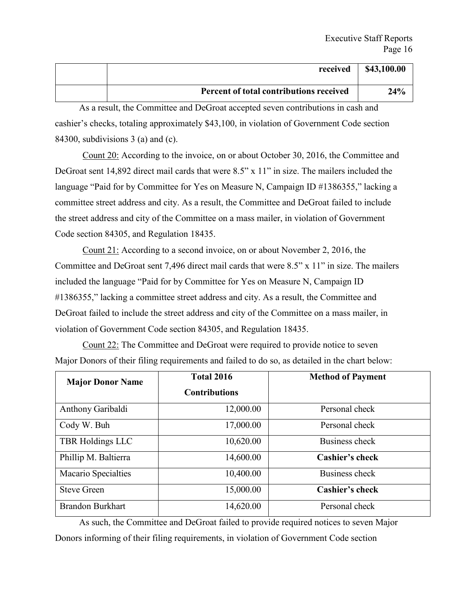| received                                | \$43,100.00 |
|-----------------------------------------|-------------|
| Percent of total contributions received | 24%         |

As a result, the Committee and DeGroat accepted seven contributions in cash and cashier's checks, totaling approximately \$43,100, in violation of Government Code section 84300, subdivisions  $3$  (a) and (c).

Count 20: According to the invoice, on or about October 30, 2016, the Committee and DeGroat sent 14,892 direct mail cards that were 8.5" x 11" in size. The mailers included the language "Paid for by Committee for Yes on Measure N, Campaign ID #1386355," lacking a committee street address and city. As a result, the Committee and DeGroat failed to include the street address and city of the Committee on a mass mailer, in violation of Government Code section 84305, and Regulation 18435.

Count 21: According to a second invoice, on or about November 2, 2016, the Committee and DeGroat sent 7,496 direct mail cards that were 8.5" x 11" in size. The mailers included the language "Paid for by Committee for Yes on Measure N, Campaign ID #1386355," lacking a committee street address and city. As a result, the Committee and DeGroat failed to include the street address and city of the Committee on a mass mailer, in violation of Government Code section 84305, and Regulation 18435.

Count 22: The Committee and DeGroat were required to provide notice to seven Major Donors of their filing requirements and failed to do so, as detailed in the chart below:

| <b>Major Donor Name</b> | <b>Total 2016</b>    | <b>Method of Payment</b> |
|-------------------------|----------------------|--------------------------|
|                         | <b>Contributions</b> |                          |
| Anthony Garibaldi       | 12,000.00            | Personal check           |
| Cody W. Buh             | 17,000.00            | Personal check           |
| TBR Holdings LLC        | 10,620.00            | Business check           |
| Phillip M. Baltierra    | 14,600.00            | Cashier's check          |
| Macario Specialties     | 10,400.00            | Business check           |
| <b>Steve Green</b>      | 15,000.00            | <b>Cashier's check</b>   |
| <b>Brandon Burkhart</b> | 14,620.00            | Personal check           |

As such, the Committee and DeGroat failed to provide required notices to seven Major Donors informing of their filing requirements, in violation of Government Code section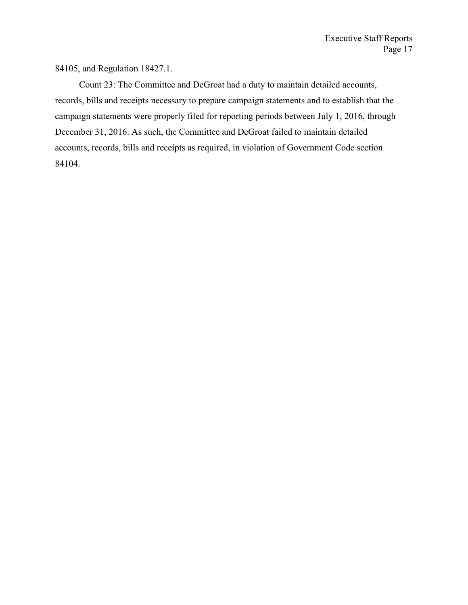84105, and Regulation 18427.1.

Count 23: The Committee and DeGroat had a duty to maintain detailed accounts, records, bills and receipts necessary to prepare campaign statements and to establish that the campaign statements were properly filed for reporting periods between July 1, 2016, through December 31, 2016. As such, the Committee and DeGroat failed to maintain detailed accounts, records, bills and receipts as required, in violation of Government Code section 84104.